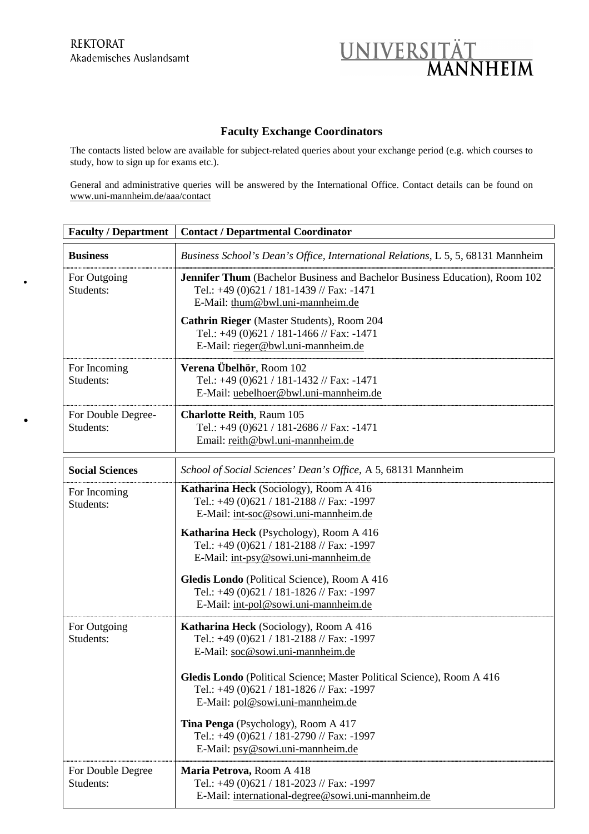•

•



## **Faculty Exchange Coordinators**

The contacts listed below are available for subject-related queries about your exchange period (e.g. which courses to study, how to sign up for exams etc.).

General and administrative queries will be answered by the International Office. Contact details can be found on www.uni-mannheim.de/aaa/contact

| <b>Faculty / Department</b>     | <b>Contact / Departmental Coordinator</b>                                                                                                                    |
|---------------------------------|--------------------------------------------------------------------------------------------------------------------------------------------------------------|
| <b>Business</b>                 | Business School's Dean's Office, International Relations, L 5, 5, 68131 Mannheim                                                                             |
| For Outgoing<br>Students:       | Jennifer Thum (Bachelor Business and Bachelor Business Education), Room 102<br>Tel.: +49 (0)621 / 181-1439 // Fax: -1471<br>E-Mail: thum@bwl.uni-mannheim.de |
|                                 | Cathrin Rieger (Master Students), Room 204<br>Tel.: +49 (0)621 / 181-1466 // Fax: -1471<br>E-Mail: rieger@bwl.uni-mannheim.de                                |
| For Incoming<br>Students:       | Verena Übelhör, Room 102<br>Tel.: +49 (0)621 / 181-1432 // Fax: -1471<br>E-Mail: uebelhoer@bwl.uni-mannheim.de                                               |
| For Double Degree-<br>Students: | <b>Charlotte Reith, Raum 105</b><br>Tel.: +49 (0)621 / 181-2686 // Fax: -1471<br>Email: reith@bwl.uni-mannheim.de                                            |
| <b>Social Sciences</b>          | School of Social Sciences' Dean's Office, A 5, 68131 Mannheim                                                                                                |
| For Incoming<br>Students:       | Katharina Heck (Sociology), Room A 416<br>Tel.: +49 (0)621 / 181-2188 // Fax: -1997<br>E-Mail: int-soc@sowi.uni-mannheim.de                                  |
|                                 | Katharina Heck (Psychology), Room A 416<br>Tel.: +49 (0)621 / 181-2188 // Fax: -1997<br>E-Mail: int-psy@sowi.uni-mannheim.de                                 |
|                                 | Gledis Londo (Political Science), Room A 416<br>Tel.: +49 (0)621 / 181-1826 // Fax: -1997<br>E-Mail: int-pol@sowi.uni-mannheim.de                            |
| For Outgoing<br>Students:       | Katharina Heck (Sociology), Room A 416<br>Tel.: +49 (0)621 / 181-2188 // Fax: -1997<br>E-Mail: soc@sowi.uni-mannheim.de                                      |
|                                 | Gledis Londo (Political Science; Master Political Science), Room A 416<br>Tel.: +49 (0)621 / 181-1826 // Fax: -1997<br>E-Mail: pol@sowi.uni-mannheim.de      |
|                                 | Tina Penga (Psychology), Room A 417<br>Tel.: +49 (0)621 / 181-2790 // Fax: -1997<br>E-Mail: psy@sowi.uni-mannheim.de                                         |
| For Double Degree<br>Students:  | Maria Petrova, Room A 418<br>Tel.: +49 (0)621 / 181-2023 // Fax: -1997<br>E-Mail: international-degree@sowi.uni-mannheim.de                                  |